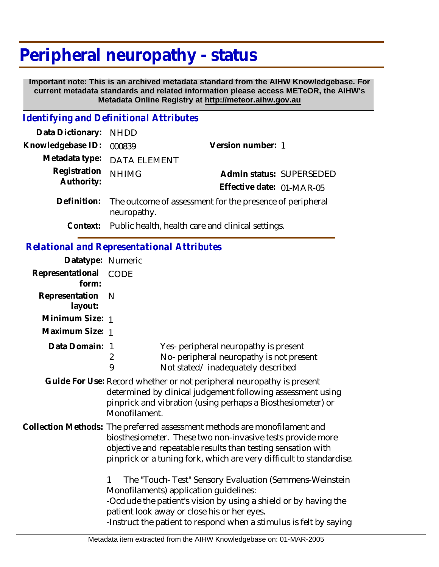# **Peripheral neuropathy - status**

 **Important note: This is an archived metadata standard from the AIHW Knowledgebase. For current metadata standards and related information please access METeOR, the AIHW's Metadata Online Registry at http://meteor.aihw.gov.au**

## *Identifying and Definitional Attributes*

| Data Dictionary: NHDD |                                                                                     |                           |  |
|-----------------------|-------------------------------------------------------------------------------------|---------------------------|--|
| Knowledgebase ID:     | 000839                                                                              | Version number: 1         |  |
|                       | Metadata type: DATA ELEMENT                                                         |                           |  |
| Registration          | <b>NHIMG</b>                                                                        | Admin status: SUPERSEDED  |  |
| Authority:            |                                                                                     | Effective date: 01-MAR-05 |  |
|                       | Definition: The outcome of assessment for the presence of peripheral<br>neuropathy. |                           |  |
|                       | Context: Public health, health care and clinical settings.                          |                           |  |

### *Relational and Representational Attributes*

| Datatype: Numeric              |                                                                                                                                                                                                                                                                                                |  |
|--------------------------------|------------------------------------------------------------------------------------------------------------------------------------------------------------------------------------------------------------------------------------------------------------------------------------------------|--|
| Representational CODE<br>form: |                                                                                                                                                                                                                                                                                                |  |
| Representation<br>layout:      | N                                                                                                                                                                                                                                                                                              |  |
| Minimum Size: 1                |                                                                                                                                                                                                                                                                                                |  |
| Maximum Size: 1                |                                                                                                                                                                                                                                                                                                |  |
| Data Domain: 1                 | Yes- peripheral neuropathy is present<br>No- peripheral neuropathy is not present<br>2<br>9<br>Not stated/inadequately described                                                                                                                                                               |  |
|                                | Guide For Use: Record whether or not peripheral neuropathy is present<br>determined by clinical judgement following assessment using<br>pinprick and vibration (using perhaps a Biosthesiometer) or<br>Monofilament.                                                                           |  |
|                                | Collection Methods: The preferred assessment methods are monofilament and<br>biosthesiometer. These two non-invasive tests provide more<br>objective and repeatable results than testing sensation with<br>pinprick or a tuning fork, which are very difficult to standardise.                 |  |
|                                | The "Touch-Test" Sensory Evaluation (Semmens-Weinstein<br>1<br>Monofilaments) application guidelines:<br>-Occlude the patient's vision by using a shield or by having the<br>patient look away or close his or her eyes.<br>-Instruct the patient to respond when a stimulus is felt by saying |  |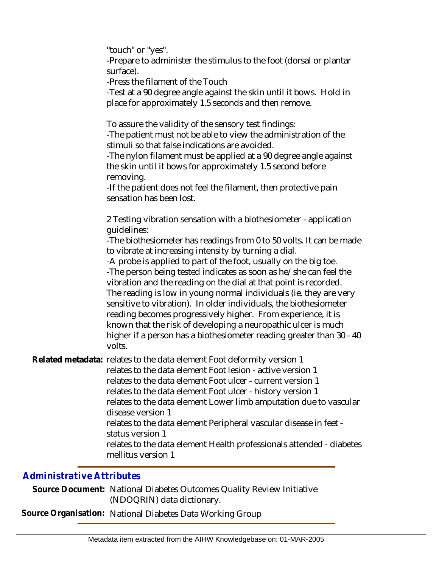"touch" or "yes".

-Prepare to administer the stimulus to the foot (dorsal or plantar surface).

-Press the filament of the Touch

-Test at a 90 degree angle against the skin until it bows. Hold in place for approximately 1.5 seconds and then remove.

To assure the validity of the sensory test findings:

-The patient must not be able to view the administration of the stimuli so that false indications are avoided.

-The nylon filament must be applied at a 90 degree angle against the skin until it bows for approximately 1.5 second before removing.

-If the patient does not feel the filament, then protective pain sensation has been lost.

2 Testing vibration sensation with a biothesiometer - application guidelines:

-The biothesiometer has readings from 0 to 50 volts. It can be made to vibrate at increasing intensity by turning a dial.

-A probe is applied to part of the foot, usually on the big toe. -The person being tested indicates as soon as he/she can feel the vibration and the reading on the dial at that point is recorded. The reading is low in young normal individuals (ie. they are very sensitive to vibration). In older individuals, the biothesiometer reading becomes progressively higher. From experience, it is known that the risk of developing a neuropathic ulcer is much higher if a person has a biothesiometer reading greater than 30 - 40 volts.

Related metadata: relates to the data element Foot deformity version 1

relates to the data element Foot lesion - active version 1 relates to the data element Foot ulcer - current version 1 relates to the data element Foot ulcer - history version 1 relates to the data element Lower limb amputation due to vascular disease version 1 relates to the data element Peripheral vascular disease in feet status version 1 relates to the data element Health professionals attended - diabetes

mellitus version 1

## *Administrative Attributes*

Source Document: National Diabetes Outcomes Quality Review Initiative (NDOQRIN) data dictionary.

**Source Organisation:** National Diabetes Data Working Group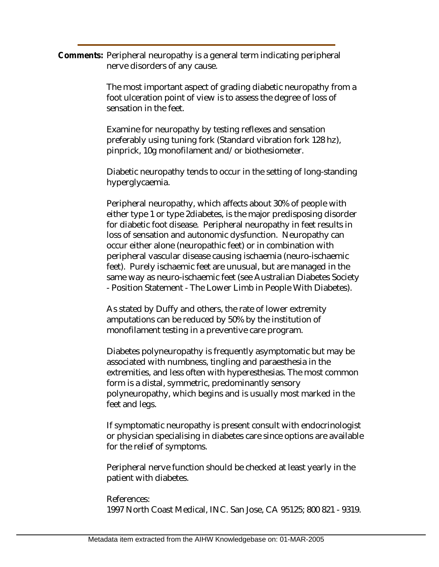Comments: Peripheral neuropathy is a general term indicating peripheral nerve disorders of any cause.

> The most important aspect of grading diabetic neuropathy from a foot ulceration point of view is to assess the degree of loss of sensation in the feet.

Examine for neuropathy by testing reflexes and sensation preferably using tuning fork (Standard vibration fork 128 hz), pinprick, 10g monofilament and/or biothesiometer.

Diabetic neuropathy tends to occur in the setting of long-standing hyperglycaemia.

Peripheral neuropathy, which affects about 30% of people with either type 1 or type 2diabetes, is the major predisposing disorder for diabetic foot disease. Peripheral neuropathy in feet results in loss of sensation and autonomic dysfunction. Neuropathy can occur either alone (neuropathic feet) or in combination with peripheral vascular disease causing ischaemia (neuro-ischaemic feet). Purely ischaemic feet are unusual, but are managed in the same way as neuro-ischaemic feet (see Australian Diabetes Society - Position Statement - The Lower Limb in People With Diabetes).

As stated by Duffy and others, the rate of lower extremity amputations can be reduced by 50% by the institution of monofilament testing in a preventive care program.

Diabetes polyneuropathy is frequently asymptomatic but may be associated with numbness, tingling and paraesthesia in the extremities, and less often with hyperesthesias. The most common form is a distal, symmetric, predominantly sensory polyneuropathy, which begins and is usually most marked in the feet and legs.

If symptomatic neuropathy is present consult with endocrinologist or physician specialising in diabetes care since options are available for the relief of symptoms.

Peripheral nerve function should be checked at least yearly in the patient with diabetes.

#### References:

1997 North Coast Medical, INC. San Jose, CA 95125; 800 821 - 9319.